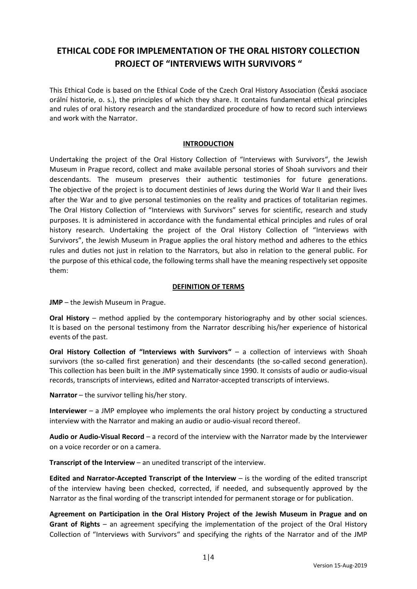# **ETHICAL CODE FOR IMPLEMENTATION OF THE ORAL HISTORY COLLECTION PROJECT OF "INTERVIEWS WITH SURVIVORS "**

This Ethical Code is based on the Ethical Code of the Czech Oral History Association (Česká asociace orální historie, o. s.), the principles of which they share. It contains fundamental ethical principles and rules of oral history research and the standardized procedure of how to record such interviews and work with the Narrator.

## **INTRODUCTION**

Undertaking the project of the Oral History Collection of "Interviews with Survivors", the Jewish Museum in Prague record, collect and make available personal stories of Shoah survivors and their descendants. The museum preserves their authentic testimonies for future generations. The objective of the project is to document destinies of Jews during the World War II and their lives after the War and to give personal testimonies on the reality and practices of totalitarian regimes. The Oral History Collection of "Interviews with Survivors" serves for scientific, research and study purposes. It is administered in accordance with the fundamental ethical principles and rules of oral history research. Undertaking the project of the Oral History Collection of "Interviews with Survivors", the Jewish Museum in Prague applies the oral history method and adheres to the ethics rules and duties not just in relation to the Narrators, but also in relation to the general public. For the purpose of this ethical code, the following terms shall have the meaning respectively set opposite them:

## **DEFINITION OF TERMS**

**JMP** – the Jewish Museum in Prague.

**Oral History** – method applied by the contemporary historiography and by other social sciences. It is based on the personal testimony from the Narrator describing his/her experience of historical events of the past.

**Oral History Collection of "Interviews with Survivors"** – a collection of interviews with Shoah survivors (the so-called first generation) and their descendants (the so-called second generation). This collection has been built in the JMP systematically since 1990. It consists of audio or audio-visual records, transcripts of interviews, edited and Narrator-accepted transcripts of interviews.

**Narrator** – the survivor telling his/her story.

**Interviewer** – a JMP employee who implements the oral history project by conducting a structured interview with the Narrator and making an audio or audio-visual record thereof.

**Audio or Audio-Visual Record** – a record of the interview with the Narrator made by the Interviewer on a voice recorder or on a camera.

**Transcript of the Interview** – an unedited transcript of the interview.

**Edited and Narrator-Accepted Transcript of the Interview** – is the wording of the edited transcript of the interview having been checked, corrected, if needed, and subsequently approved by the Narrator as the final wording of the transcript intended for permanent storage or for publication.

**Agreement on Participation in the Oral History Project of the Jewish Museum in Prague and on Grant of Rights** – an agreement specifying the implementation of the project of the Oral History Collection of "Interviews with Survivors" and specifying the rights of the Narrator and of the JMP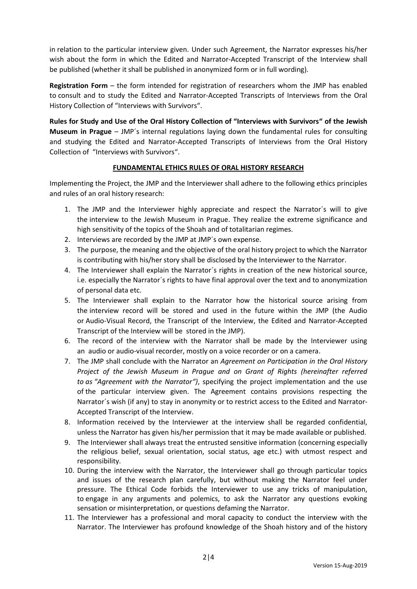in relation to the particular interview given. Under such Agreement, the Narrator expresses his/her wish about the form in which the Edited and Narrator-Accepted Transcript of the Interview shall be published (whether it shall be published in anonymized form or in full wording).

**Registration Form** – the form intended for registration of researchers whom the JMP has enabled to consult and to study the Edited and Narrator-Accepted Transcripts of Interviews from the Oral History Collection of "Interviews with Survivors".

**Rules for Study and Use of the Oral History Collection of "Interviews with Survivors" of the Jewish Museum in Prague** – JMP´s internal regulations laying down the fundamental rules for consulting and studying the Edited and Narrator-Accepted Transcripts of Interviews from the Oral History Collection of "Interviews with Survivors".

## **FUNDAMENTAL ETHICS RULES OF ORAL HISTORY RESEARCH**

Implementing the Project, the JMP and the Interviewer shall adhere to the following ethics principles and rules of an oral history research:

- 1. The JMP and the Interviewer highly appreciate and respect the Narrator´s will to give the interview to the Jewish Museum in Prague. They realize the extreme significance and high sensitivity of the topics of the Shoah and of totalitarian regimes.
- 2. Interviews are recorded by the JMP at JMP´s own expense.
- 3. The purpose, the meaning and the objective of the oral history project to which the Narrator is contributing with his/her story shall be disclosed by the Interviewer to the Narrator.
- 4. The Interviewer shall explain the Narrator´s rights in creation of the new historical source, i.e. especially the Narrator´s rights to have final approval over the text and to anonymization of personal data etc.
- 5. The Interviewer shall explain to the Narrator how the historical source arising from the interview record will be stored and used in the future within the JMP (the Audio or Audio-Visual Record, the Transcript of the Interview, the Edited and Narrator-Accepted Transcript of the Interview will be stored in the JMP).
- 6. The record of the interview with the Narrator shall be made by the Interviewer using an audio or audio-visual recorder, mostly on a voice recorder or on a camera.
- 7. The JMP shall conclude with the Narrator an *Agreement on Participation in the Oral History Project of the Jewish Museum in Prague and on Grant of Rights (hereinafter referred to as "Agreement with the Narrator")*, specifying the project implementation and the use of the particular interview given. The Agreement contains provisions respecting the Narrator's wish (if any) to stay in anonymity or to restrict access to the Edited and Narrator-Accepted Transcript of the Interview.
- 8. Information received by the Interviewer at the interview shall be regarded confidential, unless the Narrator has given his/her permission that it may be made available or published.
- 9. The Interviewer shall always treat the entrusted sensitive information (concerning especially the religious belief, sexual orientation, social status, age etc.) with utmost respect and responsibility.
- 10. During the interview with the Narrator, the Interviewer shall go through particular topics and issues of the research plan carefully, but without making the Narrator feel under pressure. The Ethical Code forbids the Interviewer to use any tricks of manipulation, to engage in any arguments and polemics, to ask the Narrator any questions evoking sensation or misinterpretation, or questions defaming the Narrator.
- 11. The Interviewer has a professional and moral capacity to conduct the interview with the Narrator. The Interviewer has profound knowledge of the Shoah history and of the history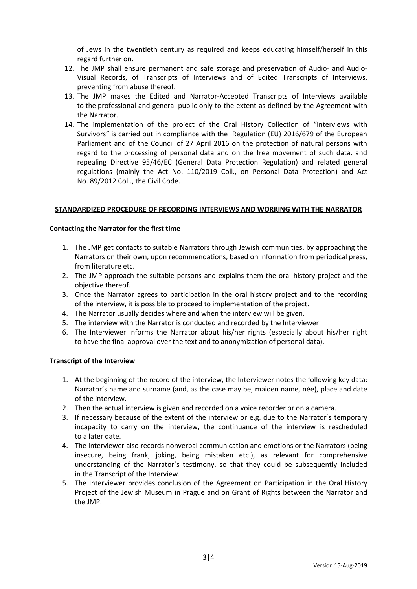of Jews in the twentieth century as required and keeps educating himself/herself in this regard further on.

- 12. The JMP shall ensure permanent and safe storage and preservation of Audio- and Audio-Visual Records, of Transcripts of Interviews and of Edited Transcripts of Interviews, preventing from abuse thereof.
- 13. The JMP makes the Edited and Narrator-Accepted Transcripts of Interviews available to the professional and general public only to the extent as defined by the Agreement with the Narrator.
- 14. The implementation of the project of the Oral History Collection of "Interviews with Survivors" is carried out in compliance with the Regulation (EU) 2016/679 of the European Parliament and of the Council of 27 April 2016 on the protection of natural persons with regard to the processing of personal data and on the free movement of such data, and repealing Directive 95/46/EC (General Data Protection Regulation) and related general regulations (mainly the Act No. 110/2019 Coll., on Personal Data Protection) and Act No. 89/2012 Coll., the Civil Code.

### **STANDARDIZED PROCEDURE OF RECORDING INTERVIEWS AND WORKING WITH THE NARRATOR**

#### **Contacting the Narrator for the first time**

- 1. The JMP get contacts to suitable Narrators through Jewish communities, by approaching the Narrators on their own, upon recommendations, based on information from periodical press, from literature etc.
- 2. The JMP approach the suitable persons and explains them the oral history project and the objective thereof.
- 3. Once the Narrator agrees to participation in the oral history project and to the recording of the interview, it is possible to proceed to implementation of the project.
- 4. The Narrator usually decides where and when the interview will be given.
- 5. The interview with the Narrator is conducted and recorded by the Interviewer
- 6. The Interviewer informs the Narrator about his/her rights (especially about his/her right to have the final approval over the text and to anonymization of personal data).

### **Transcript of the Interview**

- 1. At the beginning of the record of the interview, the Interviewer notes the following key data: Narrator´s name and surname (and, as the case may be, maiden name, née), place and date of the interview.
- 2. Then the actual interview is given and recorded on a voice recorder or on a camera.
- 3. If necessary because of the extent of the interview or e.g. due to the Narrator´s temporary incapacity to carry on the interview, the continuance of the interview is rescheduled to a later date.
- 4. The Interviewer also records nonverbal communication and emotions or the Narrators (being insecure, being frank, joking, being mistaken etc.), as relevant for comprehensive understanding of the Narrator´s testimony, so that they could be subsequently included in the Transcript of the Interview.
- 5. The Interviewer provides conclusion of the Agreement on Participation in the Oral History Project of the Jewish Museum in Prague and on Grant of Rights between the Narrator and the JMP.